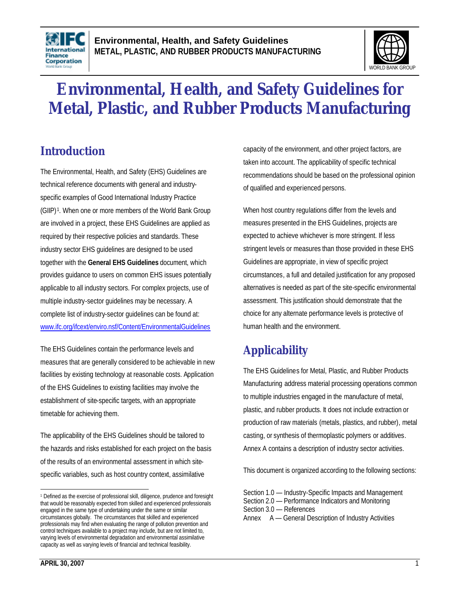



# **Environmental, Health, and Safety Guidelines for Metal, Plastic, and Rubber Products Manufacturing**

# **Introduction**

The Environmental, Health, and Safety (EHS) Guidelines are technical reference documents with general and industryspecific examples of Good International Industry Practice (GIIP) <sup>1</sup> . When one or more members of the World Bank Group are involved in a project, these EHS Guidelines are applied as required by their respective policies and standards. These industry sector EHS guidelines are designed to be used together with the **General EHS Guidelines** document, which provides guidance to users on common EHS issues potentially applicable to all industry sectors. For complex projects, use of multiple industry-sector guidelines may be necessary. A complete list of industry-sector guidelines can be found at: www.ifc.org/ifcext/enviro.nsf/Content/EnvironmentalGuidelines

The EHS Guidelines contain the performance levels and measures that are generally considered to be achievable in new facilities by existing technology at reasonable costs. Application of the EHS Guidelines to existing facilities may involve the establishment of site-specific targets, with an appropriate timetable for achieving them.

The applicability of the EHS Guidelines should be tailored to the hazards and risks established for each project on the basis of the results of an environmental assessment in which sitespecific variables, such as host country context, assimilative

capacity of the environment, and other project factors, are taken into account. The applicability of specific technical recommendations should be based on the professional opinion of qualified and experienced persons.

When host country regulations differ from the levels and measures presented in the EHS Guidelines, projects are expected to achieve whichever is more stringent. If less stringent levels or measures than those provided in these EHS Guidelines are appropriate, in view of specific project circumstances, a full and detailed justification for any proposed alternatives is needed as part of the site-specific environmental assessment. This justification should demonstrate that the choice for any alternate performance levels is protective of human health and the environment.

# **Applicability**

The EHS Guidelines for Metal, Plastic, and Rubber Products Manufacturing address material processing operations common to multiple industries engaged in the manufacture of metal, plastic, and rubber products. It does not include extraction or production of raw materials (metals, plastics, and rubber), metal casting, or synthesis of thermoplastic polymers or additives. Annex A contains a description of industry sector activities.

This document is organized according to the following sections:

Section 1.0 — Industry-Specific Impacts and Management Section 2.0 — Performance Indicators and Monitoring Section 3.0 — References Annex A — General Description of Industry Activities

 $\overline{a}$ <sup>1</sup> Defined as the exercise of professional skill, diligence, prudence and foresight that would be reasonably expected from skilled and experienced professionals engaged in the same type of undertaking under the same or similar circumstances globally. The circumstances that skilled and experienced professionals may find when evaluating the range of pollution prevention and control techniques available to a project may include, but are not limited to, varying levels of environmental degradation and environmental assimilative capacity as well as varying levels of financial and technical feasibility.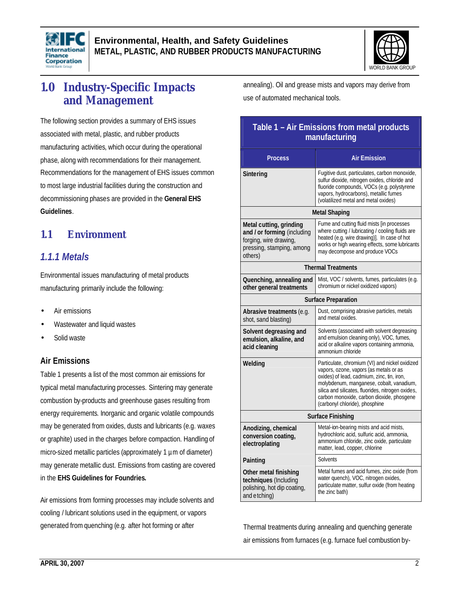



# **1.0 Industry-Specific Impacts and Management**

The following section provides a summary of EHS issues associated with metal, plastic, and rubber products manufacturing activities, which occur during the operational phase, along with recommendations for their management. Recommendations for the management of EHS issues common to most large industrial facilities during the construction and decommissioning phases are provided in the **General EHS Guidelines**.

### **1.1 Environment**

### *1.1.1 Metals*

Environmental issues manufacturing of metal products manufacturing primarily include the following:

- Air emissions
- Wastewater and liquid wastes
- Solid waste

#### **Air Emissions**

Table 1 presents a list of the most common air emissions for typical metal manufacturing processes. Sintering may generate combustion by-products and greenhouse gases resulting from energy requirements. Inorganic and organic volatile compounds may be generated from oxides, dusts and lubricants (e.g. waxes or graphite) used in the charges before compaction. Handling of micro-sized metallic particles (approximately 1  $\mu$ m of diameter) may generate metallic dust. Emissions from casting are covered in the **EHS Guidelines for Foundries.**

Air emissions from forming processes may include solvents and cooling / lubricant solutions used in the equipment, or vapors generated from quenching (e.g. after hot forming or after

annealing). Oil and grease mists and vapors may derive from use of automated mechanical tools.

### **Table 1 – Air Emissions from metal products manufacturing**

| <b>Process</b>                                                                                                           | <b>Air Emission</b>                                                                                                                                                                                                                                                                                                    |  |
|--------------------------------------------------------------------------------------------------------------------------|------------------------------------------------------------------------------------------------------------------------------------------------------------------------------------------------------------------------------------------------------------------------------------------------------------------------|--|
| Sintering                                                                                                                | Fugitive dust, particulates, carbon monoxide,<br>sulfur dioxide, nitrogen oxides, chloride and<br>fluoride compounds, VOCs (e.g. polystyrene<br>vapors, hydrocarbons), metallic fumes<br>(volatilized metal and metal oxides)                                                                                          |  |
|                                                                                                                          | <b>Metal Shaping</b>                                                                                                                                                                                                                                                                                                   |  |
| Metal cutting, grinding<br>and / or forming (including<br>forging, wire drawing,<br>pressing, stamping, among<br>others) | Fume and cutting fluid mists [in processes<br>where cutting / lubricating / cooling fluids are<br>heated (e.g. wire drawing)]. In case of hot<br>works or high wearing effects, some lubricants<br>may decompose and produce VOCs                                                                                      |  |
| <b>Thermal Treatments</b>                                                                                                |                                                                                                                                                                                                                                                                                                                        |  |
| Quenching, annealing and<br>other general treatments                                                                     | Mist, VOC / solvents, fumes, particulates (e.g.<br>chromium or nickel oxidized vapors)                                                                                                                                                                                                                                 |  |
| <b>Surface Preparation</b>                                                                                               |                                                                                                                                                                                                                                                                                                                        |  |
| Abrasive treatments (e.g.<br>shot, sand blasting)                                                                        | Dust, comprising abrasive particles, metals<br>and metal oxides.                                                                                                                                                                                                                                                       |  |
| Solvent degreasing and<br>emulsion, alkaline, and<br>acid cleaning                                                       | Solvents (associated with solvent degreasing<br>and emulsion cleaning only), VOC, fumes,<br>acid or alkaline vapors containing ammonia,<br>ammonium chloride                                                                                                                                                           |  |
| Welding                                                                                                                  | Particulate, chromium (VI) and nickel oxidized<br>vapors, ozone, vapors (as metals or as<br>oxides) of lead, cadmium, zinc, tin, iron,<br>molybdenum, manganese, cobalt, vanadium,<br>silica and silicates, fluorides, nitrogen oxides,<br>carbon monoxide, carbon dioxide, phosgene<br>(carbonyl chloride), phosphine |  |
| <b>Surface Finishing</b>                                                                                                 |                                                                                                                                                                                                                                                                                                                        |  |
| Anodizing, chemical<br>conversion coating,<br>electroplating                                                             | Metal-ion-bearing mists and acid mists,<br>hydrochloric acid, sulfuric acid, ammonia,<br>ammonium chloride, zinc oxide, particulate<br>matter, lead, copper, chlorine                                                                                                                                                  |  |
| Painting                                                                                                                 | Solvents                                                                                                                                                                                                                                                                                                               |  |
| Other metal finishing<br>techniques (Including<br>polishing, hot dip coating,<br>and etching)                            | Metal fumes and acid fumes, zinc oxide (from<br>water quench), VOC, nitrogen oxides,<br>particulate matter, sulfur oxide (from heating<br>the zinc bath)                                                                                                                                                               |  |

Thermal treatments during annealing and quenching generate air emissions from furnaces (e.g. furnace fuel combustion by-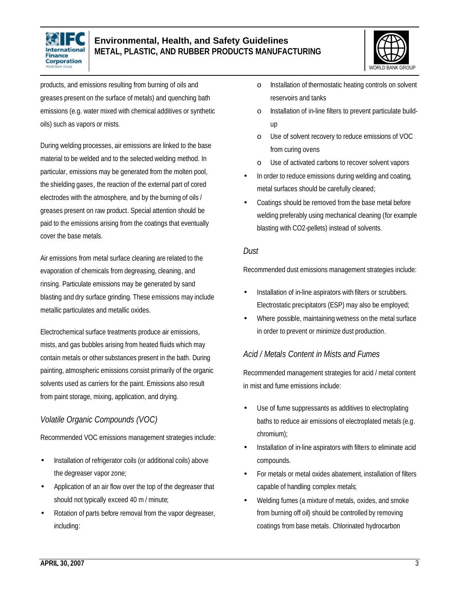



products, and emissions resulting from burning of oils and greases present on the surface of metals) and quenching bath emissions (e.g. water mixed with chemical additives or synthetic oils) such as vapors or mists.

During welding processes, air emissions are linked to the base material to be welded and to the selected welding method. In particular, emissions may be generated from the molten pool, the shielding gases, the reaction of the external part of cored electrodes with the atmosphere, and by the burning of oils / greases present on raw product. Special attention should be paid to the emissions arising from the coatings that eventually cover the base metals.

Air emissions from metal surface cleaning are related to the evaporation of chemicals from degreasing, cleaning, and rinsing. Particulate emissions may be generated by sand blasting and dry surface grinding. These emissions may include metallic particulates and metallic oxides.

Electrochemical surface treatments produce air emissions, mists, and gas bubbles arising from heated fluids which may contain metals or other substances present in the bath. During painting, atmospheric emissions consist primarily of the organic solvents used as carriers for the paint. Emissions also result from paint storage, mixing, application, and drying.

### *Volatile Organic Compounds (VOC)*

Recommended VOC emissions management strategies include:

- Installation of refrigerator coils (or additional coils) above the degreaser vapor zone;
- Application of an air flow over the top of the degreaser that should not typically exceed 40 m / minute;
- Rotation of parts before removal from the vapor degreaser, including:
- o Installation of thermostatic heating controls on solvent reservoirs and tanks
- o Installation of in-line filters to prevent particulate buildup
- o Use of solvent recovery to reduce emissions of VOC from curing ovens
- o Use of activated carbons to recover solvent vapors
- In order to reduce emissions during welding and coating, metal surfaces should be carefully cleaned;
- Coatings should be removed from the base metal before welding preferably using mechanical cleaning (for example blasting with CO2-pellets) instead of solvents.

#### *Dust*

Recommended dust emissions management strategies include:

- Installation of in-line aspirators with filters or scrubbers. Electrostatic precipitators (ESP) may also be employed;
- Where possible, maintaining wetness on the metal surface in order to prevent or minimize dust production.

### *Acid / Metals Content in Mists and Fumes*

Recommended management strategies for acid / metal content in mist and fume emissions include:

- Use of fume suppressants as additives to electroplating baths to reduce air emissions of electroplated metals (e.g. chromium);
- Installation of in-line aspirators with filters to eliminate acid compounds.
- For metals or metal oxides abatement, installation of filters capable of handling complex metals;
- Welding fumes (a mixture of metals, oxides, and smoke from burning off oil) should be controlled by removing coatings from base metals. Chlorinated hydrocarbon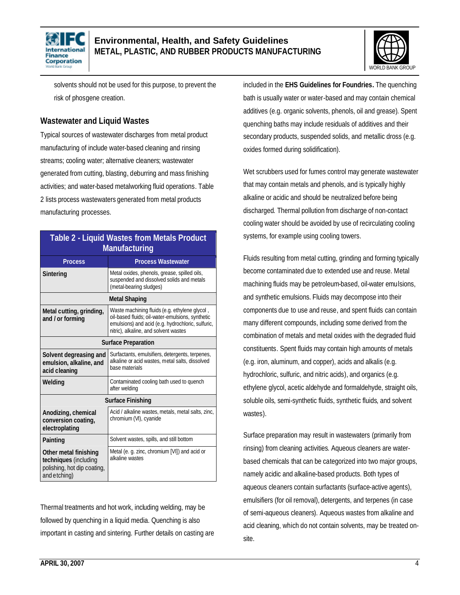



solvents should not be used for this purpose, to prevent the risk of phosgene creation.

#### **Wastewater and Liquid Wastes**

Typical sources of wastewater discharges from metal product manufacturing of include water-based cleaning and rinsing streams; cooling water; alternative cleaners; wastewater generated from cutting, blasting, deburring and mass finishing activities; and water-based metalworking fluid operations. Table 2 lists process wastewaters generated from metal products manufacturing processes.

| <b>Table 2 - Liquid Wastes from Metals Product</b><br><b>Manufacturing</b>                    |                                                                                                                                                                                                 |  |
|-----------------------------------------------------------------------------------------------|-------------------------------------------------------------------------------------------------------------------------------------------------------------------------------------------------|--|
| <b>Process</b>                                                                                | <b>Process Wastewater</b>                                                                                                                                                                       |  |
| Sintering                                                                                     | Metal oxides, phenols, grease, spilled oils,<br>suspended and dissolved solids and metals<br>(metal-bearing sludges)                                                                            |  |
| <b>Metal Shaping</b>                                                                          |                                                                                                                                                                                                 |  |
| Metal cutting, grinding,<br>and / or forming                                                  | Waste machining fluids (e.g. ethylene glycol,<br>oil-based fluids; oil-water-emulsions, synthetic<br>emulsions) and acid (e.g. hydrochloric, sulfuric,<br>nitric), alkaline, and solvent wastes |  |
| <b>Surface Preparation</b>                                                                    |                                                                                                                                                                                                 |  |
| Solvent degreasing and<br>emulsion, alkaline, and<br>acid cleaning                            | Surfactants, emulsifiers, detergents, terpenes,<br>alkaline or acid wastes, metal salts, dissolved<br>base materials                                                                            |  |
| Welding                                                                                       | Contaminated cooling bath used to quench<br>after welding                                                                                                                                       |  |
| <b>Surface Finishing</b>                                                                      |                                                                                                                                                                                                 |  |
| Anodizing, chemical<br>conversion coating,<br>electroplating                                  | Acid / alkaline wastes, metals, metal salts, zinc,<br>chromium (VI), cyanide                                                                                                                    |  |
| Painting                                                                                      | Solvent wastes, spills, and still bottom                                                                                                                                                        |  |
| Other metal finishing<br>techniques (including<br>polishing, hot dip coating,<br>and etching) | Metal (e. g. zinc, chromium [VI]) and acid or<br>alkaline wastes                                                                                                                                |  |

Thermal treatments and hot work, including welding, may be followed by quenching in a liquid media. Quenching is also important in casting and sintering. Further details on casting are included in the **EHS Guidelines for Foundries.** The quenching bath is usually water or water-based and may contain chemical additives (e.g. organic solvents, phenols, oil and grease). Spent quenching baths may include residuals of additives and their secondary products, suspended solids, and metallic dross (e.g. oxides formed during solidification).

Wet scrubbers used for fumes control may generate wastewater that may contain metals and phenols, and is typically highly alkaline or acidic and should be neutralized before being discharged. Thermal pollution from discharge of non-contact cooling water should be avoided by use of recirculating cooling systems, for example using cooling towers.

Fluids resulting from metal cutting, grinding and forming typically become contaminated due to extended use and reuse. Metal machining fluids may be petroleum-based, oil-water emulsions, and synthetic emulsions. Fluids may decompose into their components due to use and reuse, and spent fluids can contain many different compounds, including some derived from the combination of metals and metal oxides with the degraded fluid constituents. Spent fluids may contain high amounts of metals (e.g. iron, aluminum, and copper), acids and alkalis (e.g. hydrochloric, sulfuric, and nitric acids), and organics (e.g. ethylene glycol, acetic aldehyde and formaldehyde, straight oils, soluble oils, semi-synthetic fluids, synthetic fluids, and solvent wastes).

Surface preparation may result in wastewaters (primarily from rinsing) from cleaning activities. Aqueous cleaners are waterbased chemicals that can be categorized into two major groups, namely acidic and alkaline-based products. Both types of aqueous cleaners contain surfactants (surface-active agents), emulsifiers (for oil removal), detergents, and terpenes (in case of semi-aqueous cleaners). Aqueous wastes from alkaline and acid cleaning, which do not contain solvents, may be treated onsite.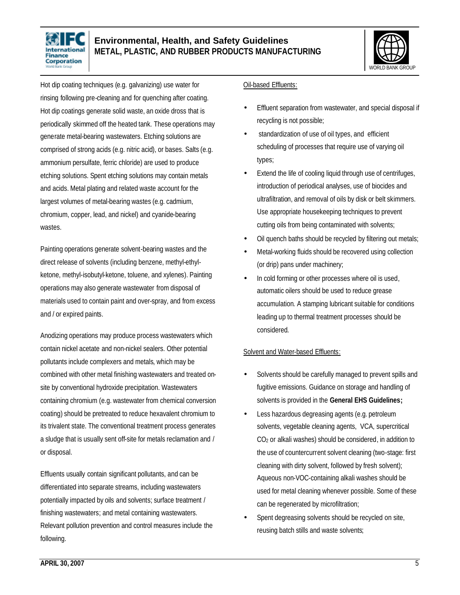



Hot dip coating techniques (e.g. galvanizing) use water for rinsing following pre-cleaning and for quenching after coating. Hot dip coatings generate solid waste, an oxide dross that is periodically skimmed off the heated tank. These operations may generate metal-bearing wastewaters. Etching solutions are comprised of strong acids (e.g. nitric acid), or bases. Salts (e.g. ammonium persulfate, ferric chloride) are used to produce etching solutions. Spent etching solutions may contain metals and acids. Metal plating and related waste account for the largest volumes of metal-bearing wastes (e.g. cadmium, chromium, copper, lead, and nickel) and cyanide-bearing wastes.

Painting operations generate solvent-bearing wastes and the direct release of solvents (including benzene, methyl-ethylketone, methyl-isobutyl-ketone, toluene, and xylenes). Painting operations may also generate wastewater from disposal of materials used to contain paint and over-spray, and from excess and / or expired paints.

Anodizing operations may produce process wastewaters which contain nickel acetate and non-nickel sealers. Other potential pollutants include complexers and metals, which may be combined with other metal finishing wastewaters and treated onsite by conventional hydroxide precipitation. Wastewaters containing chromium (e.g. wastewater from chemical conversion coating) should be pretreated to reduce hexavalent chromium to its trivalent state. The conventional treatment process generates a sludge that is usually sent off-site for metals reclamation and / or disposal.

Effluents usually contain significant pollutants, and can be differentiated into separate streams, including wastewaters potentially impacted by oils and solvents; surface treatment / finishing wastewaters; and metal containing wastewaters. Relevant pollution prevention and control measures include the following.

#### Oil-based Effluents:

- Effluent separation from wastewater, and special disposal if recycling is not possible;
- standardization of use of oil types, and efficient scheduling of processes that require use of varying oil types;
- Extend the life of cooling liquid through use of centrifuges, introduction of periodical analyses, use of biocides and ultrafiltration, and removal of oils by disk or belt skimmers. Use appropriate housekeeping techniques to prevent cutting oils from being contaminated with solvents;
- Oil quench baths should be recycled by filtering out metals;
- Metal-working fluids should be recovered using collection (or drip) pans under machinery;
- In cold forming or other processes where oil is used, automatic oilers should be used to reduce grease accumulation. A stamping lubricant suitable for conditions leading up to thermal treatment processes should be considered.

#### Solvent and Water-based Effluents:

- Solvents should be carefully managed to prevent spills and fugitive emissions. Guidance on storage and handling of solvents is provided in the **General EHS Guidelines;**
- Less hazardous degreasing agents (e.g. petroleum solvents, vegetable cleaning agents, VCA, supercritical CO2 or alkali washes) should be considered, in addition to the use of countercurrent solvent cleaning (two-stage: first cleaning with dirty solvent, followed by fresh solvent); Aqueous non-VOC-containing alkali washes should be used for metal cleaning whenever possible. Some of these can be regenerated by microfiltration;
- Spent degreasing solvents should be recycled on site, reusing batch stills and waste solvents;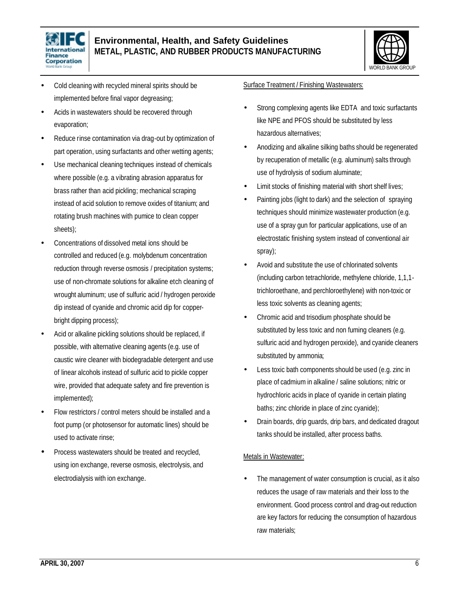



- Cold cleaning with recycled mineral spirits should be implemented before final vapor degreasing;
- Acids in wastewaters should be recovered through evaporation;
- Reduce rinse contamination via drag-out by optimization of part operation, using surfactants and other wetting agents;
- Use mechanical cleaning techniques instead of chemicals where possible (e.g. a vibrating abrasion apparatus for brass rather than acid pickling; mechanical scraping instead of acid solution to remove oxides of titanium; and rotating brush machines with pumice to clean copper sheets);
- Concentrations of dissolved metal ions should be controlled and reduced (e.g. molybdenum concentration reduction through reverse osmosis / precipitation systems; use of non-chromate solutions for alkaline etch cleaning of wrought aluminum; use of sulfuric acid / hydrogen peroxide dip instead of cyanide and chromic acid dip for copperbright dipping process);
- Acid or alkaline pickling solutions should be replaced, if possible, with alternative cleaning agents (e.g. use of caustic wire cleaner with biodegradable detergent and use of linear alcohols instead of sulfuric acid to pickle copper wire, provided that adequate safety and fire prevention is implemented);
- Flow restrictors / control meters should be installed and a foot pump (or photosensor for automatic lines) should be used to activate rinse;
- Process wastewaters should be treated and recycled, using ion exchange, reverse osmosis, electrolysis, and electrodialysis with ion exchange.

#### Surface Treatment / Finishing Wastewaters:

- Strong complexing agents like EDTA and toxic surfactants like NPE and PFOS should be substituted by less hazardous alternatives;
- Anodizing and alkaline silking baths should be regenerated by recuperation of metallic (e.g. aluminum) salts through use of hydrolysis of sodium aluminate;
- Limit stocks of finishing material with short shelf lives;
- Painting jobs (light to dark) and the selection of spraying techniques should minimize wastewater production (e.g. use of a spray gun for particular applications, use of an electrostatic finishing system instead of conventional air spray);
- Avoid and substitute the use of chlorinated solvents (including carbon tetrachloride, methylene chloride, 1,1,1 trichloroethane, and perchloroethylene) with non-toxic or less toxic solvents as cleaning agents;
- Chromic acid and trisodium phosphate should be substituted by less toxic and non fuming cleaners (e.g. sulfuric acid and hydrogen peroxide), and cyanide cleaners substituted by ammonia;
- Less toxic bath components should be used (e.g. zinc in place of cadmium in alkaline / saline solutions; nitric or hydrochloric acids in place of cyanide in certain plating baths; zinc chloride in place of zinc cyanide);
- Drain boards, drip guards, drip bars, and dedicated dragout tanks should be installed, after process baths.

#### Metals in Wastewater:

The management of water consumption is crucial, as it also reduces the usage of raw materials and their loss to the environment. Good process control and drag-out reduction are key factors for reducing the consumption of hazardous raw materials;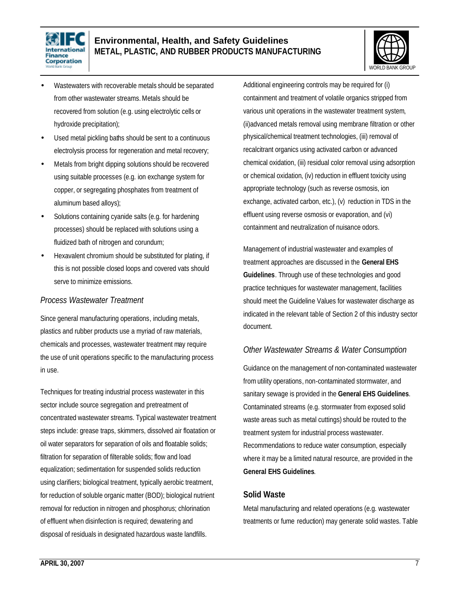



- Wastewaters with recoverable metals should be separated from other wastewater streams. Metals should be recovered from solution (e.g. using electrolytic cells or hydroxide precipitation);
- Used metal pickling baths should be sent to a continuous electrolysis process for regeneration and metal recovery;
- Metals from bright dipping solutions should be recovered using suitable processes (e.g. ion exchange system for copper, or segregating phosphates from treatment of aluminum based alloys);
- Solutions containing cyanide salts (e.g. for hardening processes) should be replaced with solutions using a fluidized bath of nitrogen and corundum;
- Hexavalent chromium should be substituted for plating, if this is not possible closed loops and covered vats should serve to minimize emissions.

#### *Process Wastewater Treatment*

Since general manufacturing operations, including metals, plastics and rubber products use a myriad of raw materials, chemicals and processes, wastewater treatment may require the use of unit operations specific to the manufacturing process in use.

Techniques for treating industrial process wastewater in this sector include source segregation and pretreatment of concentrated wastewater streams. Typical wastewater treatment steps include: grease traps, skimmers, dissolved air floatation or oil water separators for separation of oils and floatable solids; filtration for separation of filterable solids; flow and load equalization; sedimentation for suspended solids reduction using clarifiers; biological treatment, typically aerobic treatment, for reduction of soluble organic matter (BOD); biological nutrient removal for reduction in nitrogen and phosphorus; chlorination of effluent when disinfection is required; dewatering and disposal of residuals in designated hazardous waste landfills.

Additional engineering controls may be required for (i) containment and treatment of volatile organics stripped from various unit operations in the wastewater treatment system, (ii)advanced metals removal using membrane filtration or other physical/chemical treatment technologies, (iii) removal of recalcitrant organics using activated carbon or advanced chemical oxidation, (iii) residual color removal using adsorption or chemical oxidation, (iv) reduction in effluent toxicity using appropriate technology (such as reverse osmosis, ion exchange, activated carbon, etc.), (v) reduction in TDS in the effluent using reverse osmosis or evaporation, and (vi) containment and neutralization of nuisance odors.

Management of industrial wastewater and examples of treatment approaches are discussed in the **General EHS Guidelines**. Through use of these technologies and good practice techniques for wastewater management, facilities should meet the Guideline Values for wastewater discharge as indicated in the relevant table of Section 2 of this industry sector document.

### *Other Wastewater Streams & Water Consumption*

Guidance on the management of non-contaminated wastewater from utility operations, non-contaminated stormwater, and sanitary sewage is provided in the **General EHS Guidelines**. Contaminated streams (e.g. stormwater from exposed solid waste areas such as metal cuttings) should be routed to the treatment system for industrial process wastewater. Recommendations to reduce water consumption, especially where it may be a limited natural resource, are provided in the **General EHS Guidelines**.

#### **Solid Waste**

Metal manufacturing and related operations (e.g. wastewater treatments or fume reduction) may generate solid wastes. Table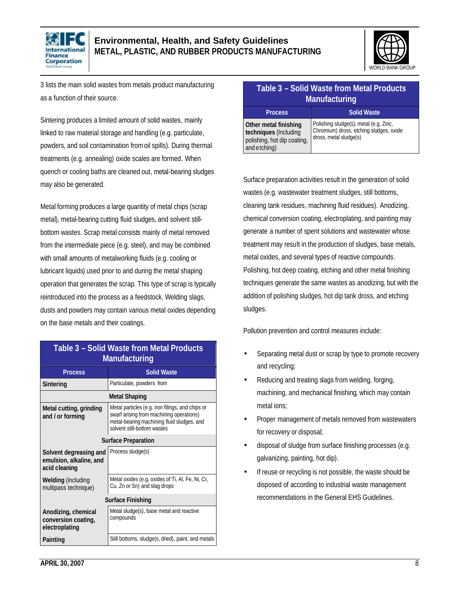



3 lists the main solid wastes from metals product manufacturing as a function of their source.

Sintering produces a limited amount of solid wastes, mainly linked to raw material storage and handling (e.g. particulate, powders, and soil contamination from oil spills). During thermal treatments (e.g. annealing) oxide scales are formed. When quench or cooling baths are cleaned out, metal-bearing sludges may also be generated.

Metal forming produces a large quantity of metal chips (scrap metal), metal-bearing cutting fluid sludges, and solvent stillbottom wastes. Scrap metal consists mainly of metal removed from the intermediate piece (e.g. steel), and may be combined with small amounts of metalworking fluids (e.g. cooling or lubricant liquids) used prior to and during the metal shaping operation that generates the scrap. This type of scrap is typically reintroduced into the process as a feedstock. Welding slags, dusts and powders may contain various metal oxides depending on the base metals and their coatings.

| Table 3 - Solid Waste from Metal Products<br><b>Manufacturing</b>  |                                                                                                                                                                           |  |
|--------------------------------------------------------------------|---------------------------------------------------------------------------------------------------------------------------------------------------------------------------|--|
| <b>Process</b>                                                     | <b>Solid Waste</b>                                                                                                                                                        |  |
| Sintering                                                          | Particulate, powders from                                                                                                                                                 |  |
| <b>Metal Shaping</b>                                               |                                                                                                                                                                           |  |
| Metal cutting, grinding<br>and / or forming                        | Metal particles (e.g. iron filings, and chips or<br>swarf arising from machining operations)<br>metal-bearing machining fluid sludges, and<br>solvent still-bottom wastes |  |
|                                                                    | <b>Surface Preparation</b>                                                                                                                                                |  |
| Solvent degreasing and<br>emulsion, alkaline, and<br>acid cleaning | Process sludge(s)                                                                                                                                                         |  |
| <b>Welding (including</b><br>multipass technique)                  | Metal oxides (e.g. oxides of Ti, Al, Fe, Ni, Cr,<br>Cu, Zn or Sn) and slag drops                                                                                          |  |
| Surface Finishing                                                  |                                                                                                                                                                           |  |
| Anodizing, chemical<br>conversion coating,<br>electroplating       | Metal sludge(s), base metal and reactive<br>compounds                                                                                                                     |  |
| Painting                                                           | Still bottoms, sludge(s, dried), paint, and metals                                                                                                                        |  |

### **Table 3 – Solid Waste from Metal Products Manufacturing**

| <b>Process</b>                                                                                | <b>Solid Waste</b>                                                                                          |
|-----------------------------------------------------------------------------------------------|-------------------------------------------------------------------------------------------------------------|
| Other metal finishing<br>techniques (Including<br>polishing, hot dip coating,<br>and etching) | Polishing sludge(s), metal (e.g. Zinc,<br>Chromium) dross, etching sludges, oxide<br>dross, metal sludge(s) |

Surface preparation activities result in the generation of solid wastes (e.g. wastewater treatment sludges, still bottoms, cleaning tank residues, machining fluid residues). Anodizing, chemical conversion coating, electroplating, and painting may generate a number of spent solutions and wastewater whose treatment may result in the production of sludges, base metals, metal oxides, and several types of reactive compounds. Polishing, hot deep coating, etching and other metal finishing techniques generate the same wastes as anodizing, but with the addition of polishing sludges, hot dip tank dross, and etching sludges.

Pollution prevention and control measures include:

- Separating metal dust or scrap by type to promote recovery and recycling;
- Reducing and treating slags from welding, forging, machining, and mechanical finishing, which may contain metal ions;
- Proper management of metals removed from wastewaters for recovery or disposal;
- disposal of sludge from surface finishing processes (e.g. galvanizing, painting, hot dip).
- If reuse or recycling is not possible, the waste should be disposed of according to industrial waste management recommendations in the General EHS Guidelines.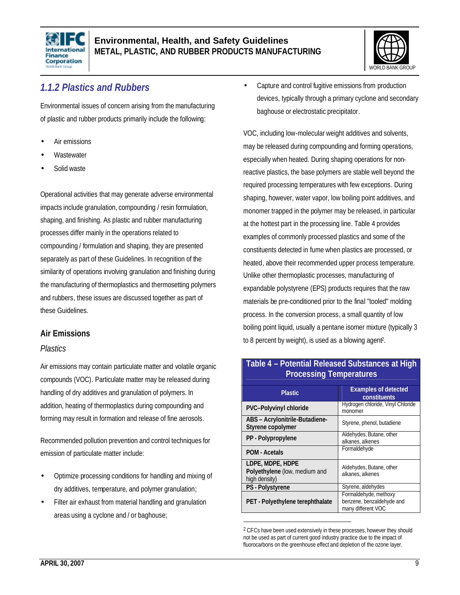



### *1.1.2 Plastics and Rubbers*

Environmental issues of concern arising from the manufacturing of plastic and rubber products primarily include the following:

- Air emissions
- **Wastewater**
- Solid waste

Operational activities that may generate adverse environmental impacts include granulation, compounding / resin formulation, shaping, and finishing. As plastic and rubber manufacturing processes differ mainly in the operations related to compounding / formulation and shaping, they are presented separately as part of these Guidelines. In recognition of the similarity of operations involving granulation and finishing during the manufacturing of thermoplastics and thermosetting polymers and rubbers, these issues are discussed together as part of these Guidelines.

### **Air Emissions**

#### *Plastics*

Air emissions may contain particulate matter and volatile organic compounds (VOC). Particulate matter may be released during handling of dry additives and granulation of polymers. In addition, heating of thermoplastics during compounding and forming may result in formation and release of fine aerosols.

Recommended pollution prevention and control techniques for emission of particulate matter include:

- Optimize processing conditions for handling and mixing of dry additives, temperature, and polymer granulation;
- Filter air exhaust from material handling and granulation areas using a cyclone and / or baghouse;

• Capture and control fugitive emissions from production devices, typically through a primary cyclone and secondary baghouse or electrostatic precipitator.

VOC, including low-molecular weight additives and solvents, may be released during compounding and forming operations, especially when heated. During shaping operations for nonreactive plastics, the base polymers are stable well beyond the required processing temperatures with few exceptions. During shaping, however, water vapor, low boiling point additives, and monomer trapped in the polymer may be released, in particular at the hottest part in the processing line. Table 4 provides examples of commonly processed plastics and some of the constituents detected in fume when plastics are processed, or heated, above their recommended upper process temperature. Unlike other thermoplastic processes, manufacturing of expandable polystyrene (EPS) products requires that the raw materials be pre-conditioned prior to the final "tooled" molding process. In the conversion process, a small quantity of low boiling point liquid, usually a pentane isomer mixture (typically 3 to 8 percent by weight), is used as a blowing agent<sup>2</sup> .

| <b>Plastic</b>                                                     | <b>Examples of detected</b><br>constituents                              |  |
|--------------------------------------------------------------------|--------------------------------------------------------------------------|--|
| <b>PVC-Polyvinyl chloride</b>                                      | Hydrogen chloride, Vinyl Chloride<br>monomer                             |  |
| ABS - Acrylonitrile-Butadiene-<br>Styrene copolymer                | Styrene, phenol, butadiene                                               |  |
| PP - Polypropylene                                                 | Aldehydes, Butane, other<br>alkanes, alkenes                             |  |
| <b>POM - Acetals</b>                                               | Formaldehyde                                                             |  |
| LDPE, MDPE, HDPE<br>Polyethylene (low, medium and<br>high density) | Aldehydes, Butane, other<br>alkanes, alkenes                             |  |
| PS - Polystyrene                                                   | Styrene, aldehydes                                                       |  |
| PET - Polyethylene terephthalate                                   | Formaldehyde, methoxy<br>benzene, benzaldehyde and<br>many different VOC |  |

#### **Table 4 – Potential Released Substances at High Processing Temperatures**

 $\overline{a}$ 

<sup>&</sup>lt;sup>2</sup> CFCs have been used extensively in these processes, however they should not be used as part of current good industry practice due to the impact of fluorocarbons on the greenhouse effect and depletion of the ozone layer.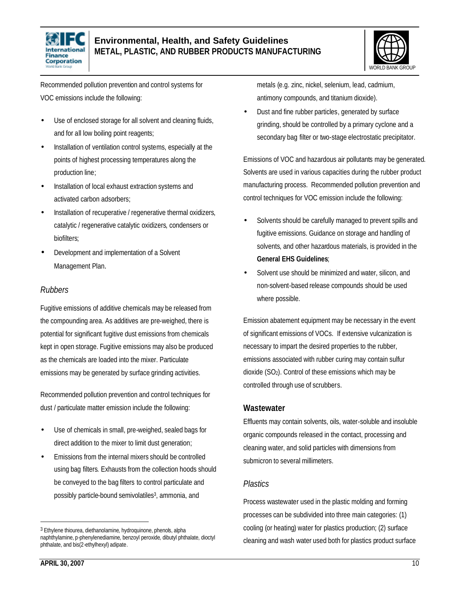



Recommended pollution prevention and control systems for VOC emissions include the following:

- Use of enclosed storage for all solvent and cleaning fluids, and for all low boiling point reagents;
- Installation of ventilation control systems, especially at the points of highest processing temperatures along the production line;
- Installation of local exhaust extraction systems and activated carbon adsorbers;
- Installation of recuperative / regenerative thermal oxidizers, catalytic / regenerative catalytic oxidizers, condensers or biofilters;
- Development and implementation of a Solvent Management Plan.

#### *Rubbers*

Fugitive emissions of additive chemicals may be released from the compounding area. As additives are pre-weighed, there is potential for significant fugitive dust emissions from chemicals kept in open storage. Fugitive emissions may also be produced as the chemicals are loaded into the mixer. Particulate emissions may be generated by surface grinding activities.

Recommended pollution prevention and control techniques for dust / particulate matter emission include the following:

- Use of chemicals in small, pre-weighed, sealed bags for direct addition to the mixer to limit dust generation;
- Emissions from the internal mixers should be controlled using bag filters. Exhausts from the collection hoods should be conveyed to the bag filters to control particulate and possibly particle-bound semivolatiles<sup>3</sup>, ammonia, and

metals (e.g. zinc, nickel, selenium, lead, cadmium, antimony compounds, and titanium dioxide).

• Dust and fine rubber particles, generated by surface grinding, should be controlled by a primary cyclone and a secondary bag filter or two-stage electrostatic precipitator.

Emissions of VOC and hazardous air pollutants may be generated. Solvents are used in various capacities during the rubber product manufacturing process. Recommended pollution prevention and control techniques for VOC emission include the following:

- Solvents should be carefully managed to prevent spills and fugitive emissions. Guidance on storage and handling of solvents, and other hazardous materials, is provided in the **General EHS Guidelines**;
- Solvent use should be minimized and water, silicon, and non-solvent-based release compounds should be used where possible.

Emission abatement equipment may be necessary in the event of significant emissions of VOCs. If extensive vulcanization is necessary to impart the desired properties to the rubber, emissions associated with rubber curing may contain sulfur dioxide (SO2). Control of these emissions which may be controlled through use of scrubbers.

#### **Wastewater**

Effluents may contain solvents, oils, water-soluble and insoluble organic compounds released in the contact, processing and cleaning water, and solid particles with dimensions from submicron to several millimeters.

#### *Plastics*

Process wastewater used in the plastic molding and forming processes can be subdivided into three main categories: (1) cooling (or heating) water for plastics production; (2) surface cleaning and wash water used both for plastics product surface

 $\overline{a}$ 

<sup>3</sup> Ethylene thiourea, diethanolamine, hydroquinone, phenols, alpha naphthylamine, p-phenylenediamine, benzoyl peroxide, dibutyl phthalate, dioctyl phthalate, and bis(2-ethylhexyl) adipate.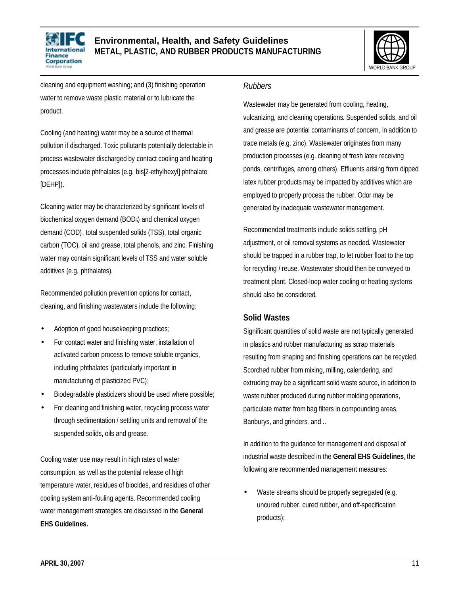



cleaning and equipment washing; and (3) finishing operation water to remove waste plastic material or to lubricate the product.

Cooling (and heating) water may be a source of thermal pollution if discharged. Toxic pollutants potentially detectable in process wastewater discharged by contact cooling and heating processes include phthalates (e.g. bis[2-ethylhexyl] phthalate [DEHP]).

Cleaning water may be characterized by significant levels of biochemical oxygen demand (BOD<sub>5</sub>) and chemical oxygen demand (COD), total suspended solids (TSS), total organic carbon (TOC), oil and grease, total phenols, and zinc. Finishing water may contain significant levels of TSS and water soluble additives (e.g. phthalates).

Recommended pollution prevention options for contact, cleaning, and finishing wastewaters include the following:

- Adoption of good housekeeping practices;
- For contact water and finishing water, installation of activated carbon process to remove soluble organics, including phthalates (particularly important in manufacturing of plasticized PVC);
- Biodegradable plasticizers should be used where possible;
- For cleaning and finishing water, recycling process water through sedimentation / settling units and removal of the suspended solids, oils and grease.

Cooling water use may result in high rates of water consumption, as well as the potential release of high temperature water, residues of biocides, and residues of other cooling system anti-fouling agents. Recommended cooling water management strategies are discussed in the **General EHS Guidelines.**

#### *Rubbers*

Wastewater may be generated from cooling, heating, vulcanizing, and cleaning operations. Suspended solids, and oil and grease are potential contaminants of concern, in addition to trace metals (e.g. zinc). Wastewater originates from many production processes (e.g. cleaning of fresh latex receiving ponds, centrifuges, among others). Effluents arising from dipped latex rubber products may be impacted by additives which are employed to properly process the rubber. Odor may be generated by inadequate wastewater management.

Recommended treatments include solids settling, pH adjustment, or oil removal systems as needed. Wastewater should be trapped in a rubber trap, to let rubber float to the top for recycling / reuse. Wastewater should then be conveyed to treatment plant. Closed-loop water cooling or heating systems should also be considered.

#### **Solid Wastes**

Significant quantities of solid waste are not typically generated in plastics and rubber manufacturing as scrap materials resulting from shaping and finishing operations can be recycled. Scorched rubber from mixing, milling, calendering, and extruding may be a significant solid waste source, in addition to waste rubber produced during rubber molding operations, particulate matter from bag filters in compounding areas, Banburys, and grinders, and ..

In addition to the guidance for management and disposal of industrial waste described in the **General EHS Guidelines**, the following are recommended management measures:

Waste streams should be properly segregated (e.g. uncured rubber, cured rubber, and off-specification products);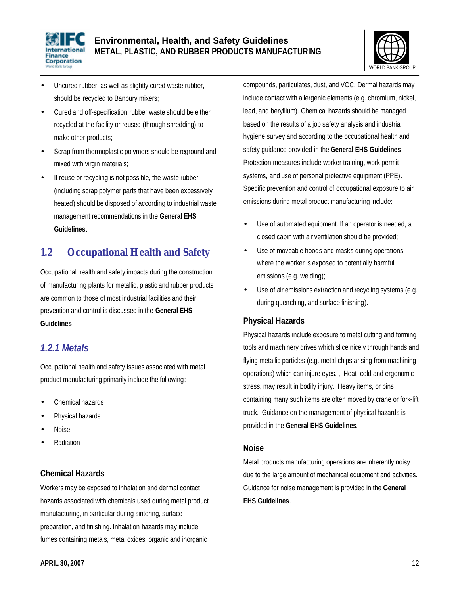



- Uncured rubber, as well as slightly cured waste rubber, should be recycled to Banbury mixers;
- Cured and off-specification rubber waste should be either recycled at the facility or reused (through shredding) to make other products;
- Scrap from thermoplastic polymers should be reground and mixed with virgin materials;
- If reuse or recycling is not possible, the waste rubber (including scrap polymer parts that have been excessively heated) should be disposed of according to industrial waste management recommendations in the **General EHS Guidelines**.

## **1.2 Occupational Health and Safety**

Occupational health and safety impacts during the construction of manufacturing plants for metallic, plastic and rubber products are common to those of most industrial facilities and their prevention and control is discussed in the **General EHS Guidelines**.

### *1.2.1 Metals*

Occupational health and safety issues associated with metal product manufacturing primarily include the following:

- Chemical hazards
- Physical hazards
- Noise
- Radiation

### **Chemical Hazards**

Workers may be exposed to inhalation and dermal contact hazards associated with chemicals used during metal product manufacturing, in particular during sintering, surface preparation, and finishing. Inhalation hazards may include fumes containing metals, metal oxides, organic and inorganic

compounds, particulates, dust, and VOC. Dermal hazards may include contact with allergenic elements (e.g. chromium, nickel, lead, and beryllium). Chemical hazards should be managed based on the results of a job safety analysis and industrial hygiene survey and according to the occupational health and safety guidance provided in the **General EHS Guidelines**. Protection measures include worker training, work permit systems, and use of personal protective equipment (PPE). Specific prevention and control of occupational exposure to air emissions during metal product manufacturing include:

- Use of automated equipment. If an operator is needed, a closed cabin with air ventilation should be provided;
- Use of moveable hoods and masks during operations where the worker is exposed to potentially harmful emissions (e.g. welding);
- Use of air emissions extraction and recycling systems (e.g. during quenching, and surface finishing).

### **Physical Hazards**

Physical hazards include exposure to metal cutting and forming tools and machinery drives which slice nicely through hands and flying metallic particles (e.g. metal chips arising from machining operations) which can injure eyes. , Heat cold and ergonomic stress, may result in bodily injury. Heavy items, or bins containing many such items are often moved by crane or fork-lift truck. Guidance on the management of physical hazards is provided in the **General EHS Guidelines**.

#### **Noise**

Metal products manufacturing operations are inherently noisy due to the large amount of mechanical equipment and activities. Guidance for noise management is provided in the **General EHS Guidelines**.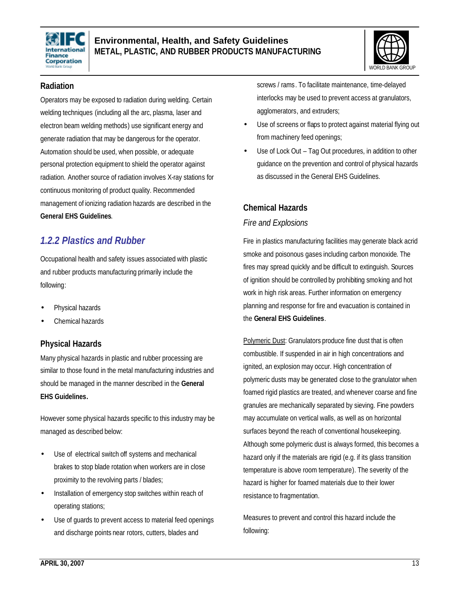



#### **Radiation**

Operators may be exposed to radiation during welding. Certain welding techniques (including all the arc, plasma, laser and electron beam welding methods) use significant energy and generate radiation that may be dangerous for the operator. Automation should be used, when possible, or adequate personal protection equipment to shield the operator against radiation. Another source of radiation involves X-ray stations for continuous monitoring of product quality. Recommended management of ionizing radiation hazards are described in the **General EHS Guidelines**.

### *1.2.2 Plastics and Rubber*

Occupational health and safety issues associated with plastic and rubber products manufacturing primarily include the following:

- Physical hazards
- Chemical hazards

### **Physical Hazards**

Many physical hazards in plastic and rubber processing are similar to those found in the metal manufacturing industries and should be managed in the manner described in the **General EHS Guidelines.**

However some physical hazards specific to this industry may be managed as described below:

- Use of electrical switch off systems and mechanical brakes to stop blade rotation when workers are in close proximity to the revolving parts / blades;
- Installation of emergency stop switches within reach of operating stations;
- Use of guards to prevent access to material feed openings and discharge points near rotors, cutters, blades and

screws / rams. To facilitate maintenance, time-delayed interlocks may be used to prevent access at granulators, agglomerators, and extruders;

- Use of screens or flaps to protect against material flying out from machinery feed openings;
- Use of Lock Out Tag Out procedures, in addition to other guidance on the prevention and control of physical hazards as discussed in the General EHS Guidelines.

#### **Chemical Hazards**

#### *Fire and Explosions*

Fire in plastics manufacturing facilities may generate black acrid smoke and poisonous gases including carbon monoxide. The fires may spread quickly and be difficult to extinguish. Sources of ignition should be controlled by prohibiting smoking and hot work in high risk areas. Further information on emergency planning and response for fire and evacuation is contained in the **General EHS Guidelines**.

Polymeric Dust: Granulators produce fine dust that is often combustible. If suspended in air in high concentrations and ignited, an explosion may occur. High concentration of polymeric dusts may be generated close to the granulator when foamed rigid plastics are treated, and whenever coarse and fine granules are mechanically separated by sieving. Fine powders may accumulate on vertical walls, as well as on horizontal surfaces beyond the reach of conventional housekeeping. Although some polymeric dust is always formed, this becomes a hazard only if the materials are rigid (e.g. if its glass transition temperature is above room temperature). The severity of the hazard is higher for foamed materials due to their lower resistance to fragmentation.

Measures to prevent and control this hazard include the following: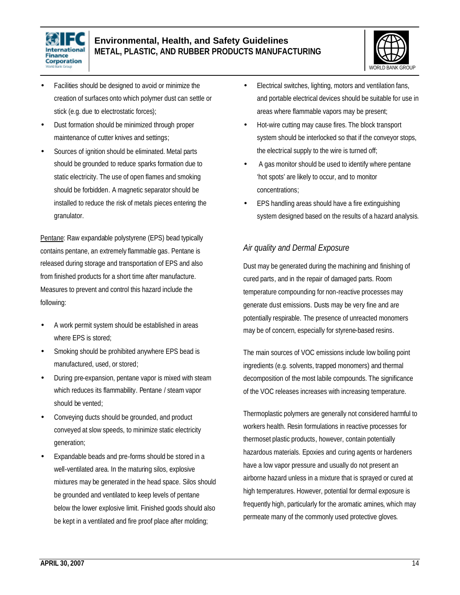



- Facilities should be designed to avoid or minimize the creation of surfaces onto which polymer dust can settle or stick (e.g. due to electrostatic forces);
- Dust formation should be minimized through proper maintenance of cutter knives and settings;
- Sources of ignition should be eliminated. Metal parts should be grounded to reduce sparks formation due to static electricity. The use of open flames and smoking should be forbidden. A magnetic separator should be installed to reduce the risk of metals pieces entering the granulator.

Pentane: Raw expandable polystyrene (EPS) bead typically contains pentane, an extremely flammable gas. Pentane is released during storage and transportation of EPS and also from finished products for a short time after manufacture. Measures to prevent and control this hazard include the following:

- A work permit system should be established in areas where EPS is stored;
- Smoking should be prohibited anywhere EPS bead is manufactured, used, or stored;
- During pre-expansion, pentane vapor is mixed with steam which reduces its flammability. Pentane / steam vapor should be vented;
- Conveying ducts should be grounded, and product conveyed at slow speeds, to minimize static electricity generation;
- Expandable beads and pre-forms should be stored in a well-ventilated area. In the maturing silos, explosive mixtures may be generated in the head space. Silos should be grounded and ventilated to keep levels of pentane below the lower explosive limit. Finished goods should also be kept in a ventilated and fire proof place after molding;
- Electrical switches, lighting, motors and ventilation fans, and portable electrical devices should be suitable for use in areas where flammable vapors may be present;
- Hot-wire cutting may cause fires. The block transport system should be interlocked so that if the conveyor stops, the electrical supply to the wire is turned off;
- A gas monitor should be used to identify where pentane 'hot spots' are likely to occur, and to monitor concentrations;
- EPS handling areas should have a fire extinguishing system designed based on the results of a hazard analysis.

### *Air quality and Dermal Exposure*

Dust may be generated during the machining and finishing of cured parts, and in the repair of damaged parts. Room temperature compounding for non-reactive processes may generate dust emissions. Dusts may be very fine and are potentially respirable. The presence of unreacted monomers may be of concern, especially for styrene-based resins.

The main sources of VOC emissions include low boiling point ingredients (e.g. solvents, trapped monomers) and thermal decomposition of the most labile compounds. The significance of the VOC releases increases with increasing temperature.

Thermoplastic polymers are generally not considered harmful to workers health. Resin formulations in reactive processes for thermoset plastic products, however, contain potentially hazardous materials. Epoxies and curing agents or hardeners have a low vapor pressure and usually do not present an airborne hazard unless in a mixture that is sprayed or cured at high temperatures. However, potential for dermal exposure is frequently high, particularly for the aromatic amines, which may permeate many of the commonly used protective gloves.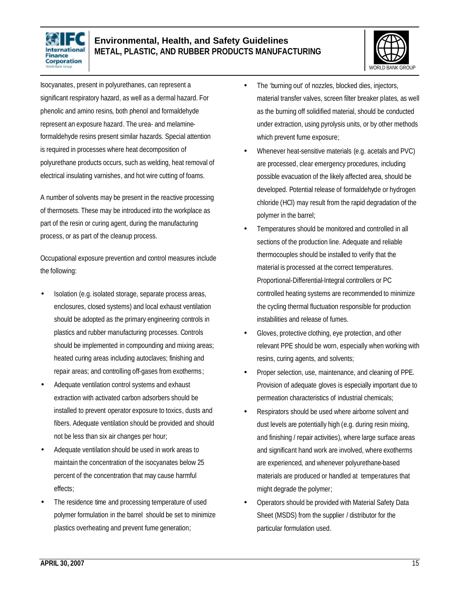



Isocyanates, present in polyurethanes, can represent a significant respiratory hazard, as well as a dermal hazard. For phenolic and amino resins, both phenol and formaldehyde represent an exposure hazard. The urea- and melamineformaldehyde resins present similar hazards. Special attention is required in processes where heat decomposition of polyurethane products occurs, such as welding, heat removal of electrical insulating varnishes, and hot wire cutting of foams.

A number of solvents may be present in the reactive processing of thermosets. These may be introduced into the workplace as part of the resin or curing agent, during the manufacturing process, or as part of the cleanup process.

Occupational exposure prevention and control measures include the following:

- Isolation (e.g. isolated storage, separate process areas, enclosures, closed systems) and local exhaust ventilation should be adopted as the primary engineering controls in plastics and rubber manufacturing processes. Controls should be implemented in compounding and mixing areas; heated curing areas including autoclaves; finishing and repair areas; and controlling off-gases from exotherms;
- Adequate ventilation control systems and exhaust extraction with activated carbon adsorbers should be installed to prevent operator exposure to toxics, dusts and fibers. Adequate ventilation should be provided and should not be less than six air changes per hour;
- Adequate ventilation should be used in work areas to maintain the concentration of the isocyanates below 25 percent of the concentration that may cause harmful effects;
- The residence time and processing temperature of used polymer formulation in the barrel should be set to minimize plastics overheating and prevent fume generation;
- The 'burning out' of nozzles, blocked dies, injectors, material transfer valves, screen filter breaker plates, as well as the burning off solidified material, should be conducted under extraction, using pyrolysis units, or by other methods which prevent fume exposure;
- Whenever heat-sensitive materials (e.g. acetals and PVC) are processed, clear emergency procedures, including possible evacuation of the likely affected area, should be developed. Potential release of formaldehyde or hydrogen chloride (HCl) may result from the rapid degradation of the polymer in the barrel;
- Temperatures should be monitored and controlled in all sections of the production line. Adequate and reliable thermocouples should be installed to verify that the material is processed at the correct temperatures. Proportional-Differential-Integral controllers or PC controlled heating systems are recommended to minimize the cycling thermal fluctuation responsible for production instabilities and release of fumes.
- Gloves, protective clothing, eye protection, and other relevant PPE should be worn, especially when working with resins, curing agents, and solvents;
- Proper selection, use, maintenance, and cleaning of PPE. Provision of adequate gloves is especially important due to permeation characteristics of industrial chemicals;
- Respirators should be used where airborne solvent and dust levels are potentially high (e.g. during resin mixing, and finishing / repair activities), where large surface areas and significant hand work are involved, where exotherms are experienced, and whenever polyurethane-based materials are produced or handled at temperatures that might degrade the polymer;
- Operators should be provided with Material Safety Data Sheet (MSDS) from the supplier / distributor for the particular formulation used.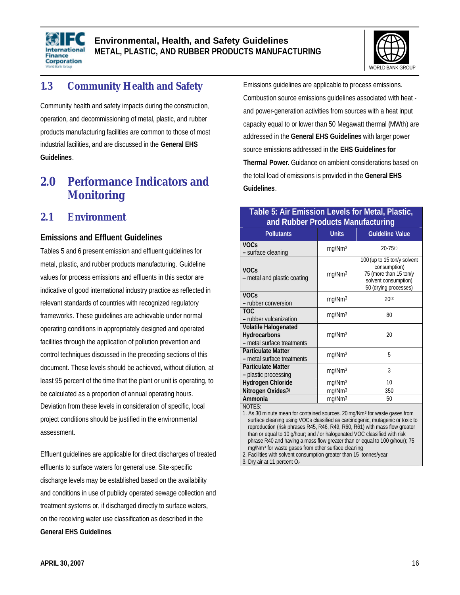



# **1.3 Community Health and Safety**

Community health and safety impacts during the construction, operation, and decommissioning of metal, plastic, and rubber products manufacturing facilities are common to those of most industrial facilities, and are discussed in the **General EHS Guidelines**.

# **2.0 Performance Indicators and Monitoring**

### **2.1 Environment**

#### **Emissions and Effluent Guidelines**

Tables 5 and 6 present emission and effluent guidelines for metal, plastic, and rubber products manufacturing. Guideline values for process emissions and effluents in this sector are indicative of good international industry practice as reflected in relevant standards of countries with recognized regulatory frameworks. These guidelines are achievable under normal operating conditions in appropriately designed and operated facilities through the application of pollution prevention and control techniques discussed in the preceding sections of this document. These levels should be achieved, without dilution, at least 95 percent of the time that the plant or unit is operating, to be calculated as a proportion of annual operating hours. Deviation from these levels in consideration of specific, local project conditions should be justified in the environmental assessment.

Effluent guidelines are applicable for direct discharges of treated effluents to surface waters for general use. Site-specific discharge levels may be established based on the availability and conditions in use of publicly operated sewage collection and treatment systems or, if discharged directly to surface waters, on the receiving water use classification as described in the **General EHS Guidelines**.

Emissions guidelines are applicable to process emissions. Combustion source emissions guidelines associated with heat and power-generation activities from sources with a heat input capacity equal to or lower than 50 Megawatt thermal (MWth) are addressed in the **General EHS Guidelines** with larger power source emissions addressed in the **EHS Guidelines for Thermal Power**. Guidance on ambient considerations based on the total load of emissions is provided in the **General EHS Guidelines**.

#### **Table 5: Air Emission Levels for Metal, Plastic, and Rubber Products Manufacturing**

| <b>Pollutants</b>                                                         | <b>Units</b>       | <b>Guideline Value</b>                                                                                                 |
|---------------------------------------------------------------------------|--------------------|------------------------------------------------------------------------------------------------------------------------|
| <b>VOCs</b><br>- surface cleaning                                         | mg/Nm <sup>3</sup> | $20 - 75^{(1)}$                                                                                                        |
| <b>VOCs</b><br>- metal and plastic coating                                | mg/Nm <sup>3</sup> | 100 (up to 15 ton/y solvent<br>consumption)<br>75 (more than 15 ton/y<br>solvent consumption)<br>50 (drying processes) |
| <b>VOCs</b><br>- rubber conversion                                        | mq/Nm <sup>3</sup> | 20(2)                                                                                                                  |
| <b>TOC</b><br>- rubber vulcanization                                      | mg/Nm <sup>3</sup> | 80                                                                                                                     |
| <b>Volatile Halogenated</b><br>Hydrocarbons<br>- metal surface treatments | mg/Nm <sup>3</sup> | 20                                                                                                                     |
| <b>Particulate Matter</b><br>- metal surface treatments                   | mg/Nm <sup>3</sup> | 5                                                                                                                      |
| <b>Particulate Matter</b><br>- plastic processing                         | mg/Nm <sup>3</sup> | 3                                                                                                                      |
| <b>Hydrogen Chloride</b>                                                  | mg/Nm <sup>3</sup> | 10                                                                                                                     |
| Nitrogen Oxides <sup>(3)</sup>                                            | mg/Nm <sup>3</sup> | 350                                                                                                                    |
| Ammonia                                                                   | mg/Nm <sup>3</sup> | 50                                                                                                                     |
| NOTES:                                                                    |                    |                                                                                                                        |

1. As 30 minute mean for contained sources. 20 mg/Nm<sup>3</sup> for waste gases from surface cleaning using VOCs classified as carcinogenic, mutagenic or toxic to reproduction (risk phrases R45, R46, R49, R60, R61) with mass flow greater than or equal to 10 g/hour; and / or halogenated VOC classified with risk phrase R40 and having a mass flow greater than or equal to 100 g/hour); 75 mg/Nm<sup>3</sup> for waste gases from other surface cleaning

2. Facilities with solvent consumption greater than 15 tonnes/year

3. Dry air at 11 percent O2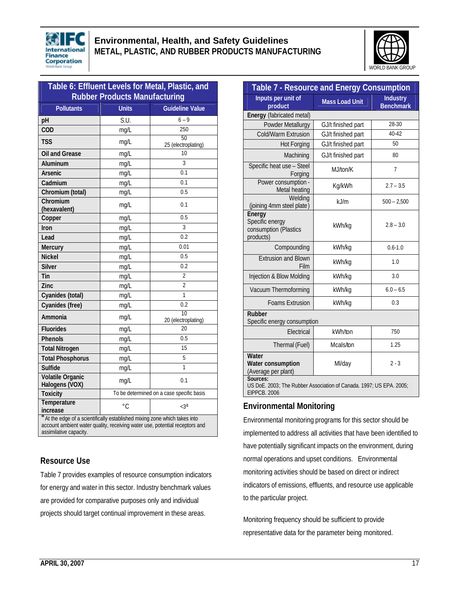



| Table 6: Effluent Levels for Metal, Plastic, and |              |                                           |  |
|--------------------------------------------------|--------------|-------------------------------------------|--|
| <b>Rubber Products Manufacturing</b>             |              |                                           |  |
| <b>Pollutants</b>                                | <b>Units</b> | <b>Guideline Value</b>                    |  |
| pH                                               | S.U.         | $6 - 9$                                   |  |
| COD                                              | mg/L         | 250                                       |  |
| <b>TSS</b>                                       | mg/L         | 50<br>25 (electroplating)                 |  |
| <b>Oil and Grease</b>                            | mg/L         | 10                                        |  |
| Aluminum                                         | mg/L         | 3                                         |  |
| Arsenic                                          | mg/L         | 0.1                                       |  |
| Cadmium                                          | mg/L         | 0.1                                       |  |
| Chromium (total)                                 | mg/L         | 0.5                                       |  |
| Chromium<br>(hexavalent)                         | mg/L         | 0.1                                       |  |
| Copper                                           | mg/L         | 0.5                                       |  |
| Iron                                             | mq/L         | 3                                         |  |
| Lead                                             | mg/L         | 0.2                                       |  |
| <b>Mercury</b>                                   | mg/L         | 0.01                                      |  |
| <b>Nickel</b>                                    | mg/L         | 0.5                                       |  |
| <b>Silver</b>                                    | mg/L         | 0.2                                       |  |
| Tin                                              | mq/L         | $\overline{2}$                            |  |
| Zinc                                             | mg/L         | $\overline{2}$                            |  |
| Cyanides (total)                                 | mg/L         | 1                                         |  |
| Cyanides (free)                                  | mg/L         | 0.2                                       |  |
| Ammonia                                          | mg/L         | $\overline{10}$<br>20 (electroplating)    |  |
| <b>Fluorides</b>                                 | mg/L         | 20                                        |  |
| <b>Phenols</b>                                   | mg/L         | 0.5                                       |  |
| <b>Total Nitrogen</b>                            | mg/L         | 15                                        |  |
| <b>Total Phosphorus</b>                          | mg/L         | 5                                         |  |
| <b>Sulfide</b>                                   | mg/L         | $\overline{1}$                            |  |
| <b>Volatile Organic</b><br>Halogens (VOX)        | mg/L         | 0.1                                       |  |
| <b>Toxicity</b>                                  |              | To be determined on a case specific basis |  |
| Temperature<br>increase                          | $\circ$ C    | $<$ 3a                                    |  |

**a** At the edge of a scientifically established mixing zone which takes into account ambient water quality, receiving water use, potential receptors and assimilative capacity.

### **Resource Use**

Table 7 provides examples of resource consumption indicators for energy and water in this sector. Industry benchmark values are provided for comparative purposes only and individual projects should target continual improvement in these areas.

| Table 7 - Resource and Energy Consumption                                                              |                       |                                     |  |
|--------------------------------------------------------------------------------------------------------|-----------------------|-------------------------------------|--|
| Inputs per unit of<br>product                                                                          | <b>Mass Load Unit</b> | <b>Industry</b><br><b>Benchmark</b> |  |
| Energy (fabricated metal)                                                                              |                       |                                     |  |
| Powder Metallurgy                                                                                      | GJ/t finished part    | 28-30                               |  |
| Cold/Warm Extrusion                                                                                    | GJ/t finished part    | 40-42                               |  |
| <b>Hot Forging</b>                                                                                     | GJ/t finished part    | 50                                  |  |
| Machining                                                                                              | GJ/t finished part    | 80                                  |  |
| Specific heat use - Steel<br>Forging                                                                   | M.J/ton/K             | $\overline{7}$                      |  |
| Power consumption -<br>Metal heating                                                                   | Kg/kWh                | $2.7 - 3.5$                         |  |
| Welding<br>(joining 4mm steel plate)                                                                   | kJ/m                  | $500 - 2,500$                       |  |
| Energy<br>Specific energy<br>consumption (Plastics<br>products)                                        | kWh/kg                | $2.8 - 3.0$                         |  |
| Compounding                                                                                            | kWh/kg                | $0.6 - 1.0$                         |  |
| <b>Extrusion and Blown</b><br>Film                                                                     | kWh/kg                | 1.0                                 |  |
| Injection & Blow Molding                                                                               | kWh/kg                | 3.0                                 |  |
| Vacuum Thermoforming                                                                                   | kWh/kg                | $6.0 - 6.5$                         |  |
| <b>Foams Extrusion</b>                                                                                 | kWh/kg                | 0.3                                 |  |
| <b>Rubber</b><br>Specific energy consumption                                                           |                       |                                     |  |
| Electrical                                                                                             | kWh/ton               | 750                                 |  |
| Thermal (Fuel)                                                                                         | Mcals/ton             | 1.25                                |  |
| Water<br>Water consumption<br>(Average per plant)                                                      | Ml/day                | $2 - 3$                             |  |
| Sources:<br>US DoE. 2003; The Rubber Association of Canada. 1997; US EPA. 2005;<br><b>EIPPCB. 2006</b> |                       |                                     |  |

#### **Environmental Monitoring**

Environmental monitoring programs for this sector should be implemented to address all activities that have been identified to have potentially significant impacts on the environment, during normal operations and upset conditions. Environmental monitoring activities should be based on direct or indirect indicators of emissions, effluents, and resource use applicable to the particular project.

Monitoring frequency should be sufficient to provide representative data for the parameter being monitored.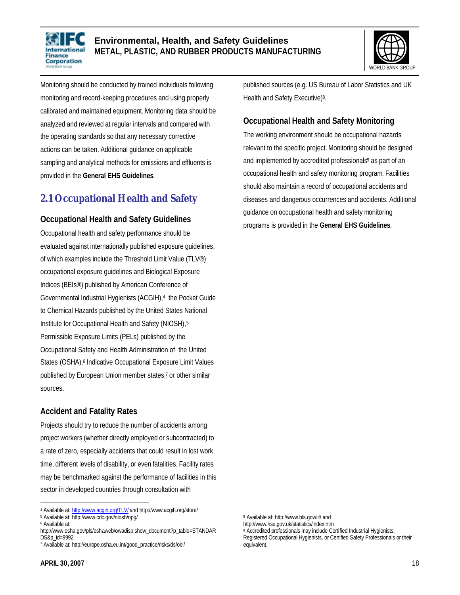



Monitoring should be conducted by trained individuals following monitoring and record-keeping procedures and using properly calibrated and maintained equipment. Monitoring data should be analyzed and reviewed at regular intervals and compared with the operating standards so that any necessary corrective actions can be taken. Additional guidance on applicable sampling and analytical methods for emissions and effluents is provided in the **General EHS Guidelines**.

### **2.1 Occupational Health and Safety**

#### **Occupational Health and Safety Guidelines**

Occupational health and safety performance should be evaluated against internationally published exposure guidelines, of which examples include the Threshold Limit Value (TLV®) occupational exposure guidelines and Biological Exposure Indices (BEIs®) published by American Conference of Governmental Industrial Hygienists (ACGIH),<sup>4</sup> the Pocket Guide to Chemical Hazards published by the United States National Institute for Occupational Health and Safety (NIOSH),<sup>5</sup> Permissible Exposure Limits (PELs) published by the Occupational Safety and Health Administration of the United States (OSHA),<sup>6</sup> Indicative Occupational Exposure Limit Values published by European Union member states,<sup>7</sup> or other similar sources.

### **Accident and Fatality Rates**

Projects should try to reduce the number of accidents among project workers (whether directly employed or subcontracted) to a rate of zero, especially accidents that could result in lost work time, different levels of disability, or even fatalities. Facility rates may be benchmarked against the performance of facilities in this sector in developed countries through consultation with

published sources (e.g. US Bureau of Labor Statistics and UK Health and Safety Executive)<sup>8</sup>.

#### **Occupational Health and Safety Monitoring**

The working environment should be occupational hazards relevant to the specific project. Monitoring should be designed and implemented by accredited professionals<sup>9</sup> as part of an occupational health and safety monitoring program. Facilities should also maintain a record of occupational accidents and diseases and dangerous occurrences and accidents. Additional guidance on occupational health and safety monitoring programs is provided in the **General EHS Guidelines**.

 $\overline{a}$ 

 $\overline{a}$ 4 Available at: http://www.acgih.org/TLV/ and http://www.acgih.org/store/

<sup>5</sup> Available at: http://www.cdc.gov/niosh/npg/

<sup>6</sup> Available at:

http://www.osha.gov/pls/oshaweb/owadisp.show\_document?p\_table=STANDAR DS&p\_id=9992

<sup>7</sup> Available at: http://europe.osha.eu.int/good\_practice/risks/ds/oel/

<sup>8</sup> Available at: http://www.bls.gov/iif/ and

http://www.hse.gov.uk/statistics/index.htm

<sup>9</sup> Accredited professionals may include Certified Industrial Hygienists, Registered Occupational Hygienists, or Certified Safety Professionals or their equivalent.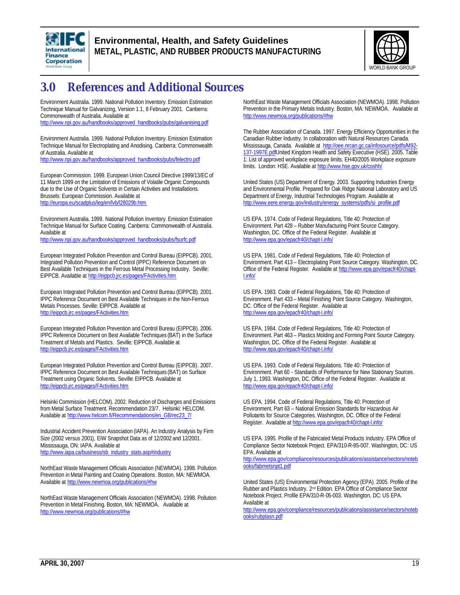



# **3.0 References and Additional Sources**

Environment Australia. 1999. National Pollution Inventory. Emission Estimation Technique Manual for Galvanizing, Version 1.1, 8 February 2001. Canberra: Commonwealth of Australia. Available at

http://www.npi.gov.au/handbooks/approved\_handbooks/pubs/galvanising.pdf

Environment Australia. 1999. National Pollution Inventory. Emission Estimation Technique Manual for Electroplating and Anodising. Canberra: Commonwealth of Australia. Available at

http://www.npi.gov.au/handbooks/approved\_handbooks/pubs/felectro.pdf

European Commission. 1999. European Union Council Directive 1999/13/EC of 11 March 1999 on the Limitation of Emissions of Volatile Organic Compounds due to the Use of Organic Solvents in Certain Activities and Installations. Brussels: European Commission. Available at http://europa.eu/scadplus/leg/en/lvb/l28029b.htm

Environment Australia. 1999. National Pollution Inventory. Emission Estimation Technique Manual for Surface Coating. Canberra: Commonwealth of Australia. Available at

http://www.npi.gov.au/handbooks/approved\_handbooks/pubs/fsurfc.pdf

European Integrated Pollution Prevention and Control Bureau (EIPPCB). 2001. Integrated Pollution Prevention and Control (IPPC) Reference Document on Best Available Techniques in the Ferrous Metal Processing Industry. Seville: EIPPCB. Available at http://eippcb.jrc.es/pages/FActivities.htm

European Integrated Pollution Prevention and Control Bureau (EIPPCB). 2001. IPPC Reference Document on Best Available Techniques in the Non-Ferrous Metals Processes. Seville: EIPPCB. Available at http://eippcb.jrc.es/pages/FActivities.htm

European Integrated Pollution Prevention and Control Bureau (EIPPCB). 2006. IPPC Reference Document on Best Available Techniques (BAT) in the Surface Treatment of Metals and Plastics. Seville: EIPPCB. Available at http://eippcb.jrc.es/pages/FActivities.htm

European Integrated Pollution Prevention and Control Bureau (EIPPCB). 2007. IPPC Reference Document on Best Available Techniques (BAT) on Surface Treatment using Organic Solvents. Seville: EIPPCB. Available at http://eippcb.jrc.es/pages/FActivities.htm

Helsinki Commission (HELCOM). 2002. Reduction of Discharges and Emissions from Metal Surface Treatment. Recommendation 23/7. Helsinki: HELCOM. Available at http://www.helcom.fi/Recommendations/en\_GB/rec23\_7/

Industrial Accident Prevention Association (IAPA). An Industry Analysis by Firm Size (2002 versus 2001), EIW Snapshot Data as of 12/2002 and 12/2001. Mississauga, ON: IAPA. Available at http://www.iapa.ca/business/sb\_industry\_stats.asp#industry

NorthEast Waste Management Officials Association (NEWMOA). 1998. Pollution Prevention in Metal Painting and Coating Operations. Boston, MA: NEWMOA. Available at http://www.newmoa.org/publications/#hw

NorthEast Waste Management Officials Association (NEWMOA). 1998. Pollution Prevention in Metal Finishing. Boston, MA: NEWMOA. Available at http://www.newmoa.org/publications/#hw

NorthEast Waste Management Officials Association (NEWMOA). 1998. Pollution Prevention in the Primary Metals Industry. Boston, MA: NEWMOA. Available at http://www.newmoa.org/publications/#hw

The Rubber Association of Canada. 1997. Energy Efficiency Opportunities in the Canadian Rubber Industry. In collaboration with Natural Resources Canada. Mississauga, Canada. Available at http://oee.nrcan.gc.ca/infosource/pdfs/M92-137-1997E.pdfUnited Kingdom Health and Safety Executive (HSE). 2005. Table 1: List of approved workplace exposure limits. EH40/2005 Workplace exposure limits. London: HSE. Available at http://www.hse.gov.uk/coshh/

United States (US) Department of Energy. 2003. Supporting Industries Energy and Environmental Profile. Prepared for Oak Ridge National Laboratory and US Department of Energy, Industrial Technologies Program. Available at http://www.eere.energy.gov/industry/energy\_systems/pdfs/si\_profile.pdf

US EPA. 1974. Code of Federal Regulations, Title 40: Protection of Environment. Part 428 – Rubber Manufacturing Point Source Category. Washington, DC. Office of the Federal Register. Available at http://www.epa.gov/epacfr40/chapt-I.info/

US EPA. 1981. Code of Federal Regulations, Title 40: Protection of Environment. Part 413 – Electroplating Point Source Category. Washington, DC. Office of the Federal Register. Available at http://www.epa.gov/epacfr40/chapt-I.info/

US EPA. 1983. Code of Federal Regulations, Title 40: Protection of Environment. Part 433 – Metal Finishing Point Source Category. Washington, DC. Office of the Federal Register. Available at http://www.epa.gov/epacfr40/chapt-I.info/

US EPA. 1984. Code of Federal Regulations, Title 40: Protection of Environment. Part 463 – Plastics Molding and Forming Point Source Category. Washington, DC. Office of the Federal Register. Available at http://www.epa.gov/epacfr40/chapt-I.info/

US EPA. 1993. Code of Federal Regulations. Title 40: Protection of Environment. Part 60 - Standards of Performance for New Stationary Sources. July 1, 1993. Washington, DC. Office of the Federal Register. Available at http://www.epa.gov/epacfr40/chapt-I.info/

US EPA. 1994. Code of Federal Regulations, Title 40: Protection of Environment. Part 63 – National Emission Standards for Hazardous Air Pollutants for Source Categories. Washington, DC. Office of the Federal Register. Available at http://www.epa.gov/epacfr40/chapt-I.info/

US EPA. 1995. Profile of the Fabricated Metal Products Industry. EPA Office of Compliance Sector Notebook Project. EPA/310-R-95-007. Washington, DC: US EPA. Available at

http://www.epa.gov/compliance/resources/publications/assistance/sectors/noteb ooks/fabmetsnpt1.pdf

United States (US) Environmental Protection Agency (EPA). 2005. Profile of the Rubber and Plastics Industry. 2<sup>nd</sup> Edition. EPA Office of Compliance Sector Notebook Project. Profile EPA/310-R-05-003. Washington, DC: US EPA. Available at

http://www.epa.gov/compliance/resources/publications/assistance/sectors/noteb ooks/rubplasn.pdf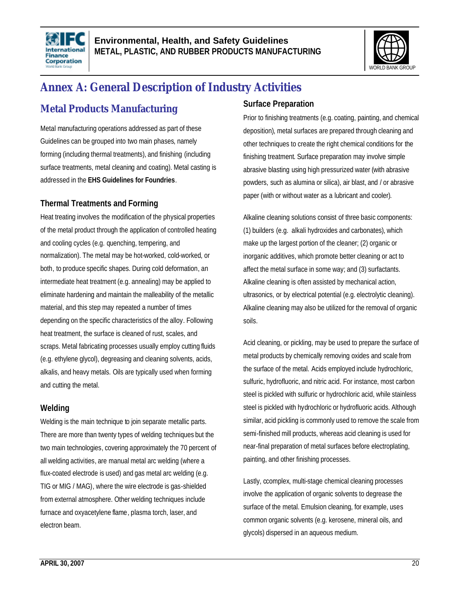



# **Annex A: General Description of Industry Activities**

# **Metal Products Manufacturing**

Metal manufacturing operations addressed as part of these Guidelines can be grouped into two main phases, namely forming (including thermal treatments), and finishing (including surface treatments, metal cleaning and coating). Metal casting is addressed in the **EHS Guidelines for Foundries**.

### **Thermal Treatments and Forming**

Heat treating involves the modification of the physical properties of the metal product through the application of controlled heating and cooling cycles (e.g. quenching, tempering, and normalization). The metal may be hot-worked, cold-worked, or both, to produce specific shapes. During cold deformation, an intermediate heat treatment (e.g. annealing) may be applied to eliminate hardening and maintain the malleability of the metallic material, and this step may repeated a number of times depending on the specific characteristics of the alloy. Following heat treatment, the surface is cleaned of rust, scales, and scraps. Metal fabricating processes usually employ cutting fluids (e.g. ethylene glycol), degreasing and cleaning solvents, acids, alkalis, and heavy metals. Oils are typically used when forming and cutting the metal.

### **Welding**

Welding is the main technique to join separate metallic parts. There are more than twenty types of welding techniques but the two main technologies, covering approximately the 70 percent of all welding activities, are manual metal arc welding (where a flux-coated electrode is used) and gas metal arc welding (e.g. TIG or MIG / MAG), where the wire electrode is gas-shielded from external atmosphere. Other welding techniques include furnace and oxyacetylene flame, plasma torch, laser, and electron beam.

### **Surface Preparation**

Prior to finishing treatments (e.g. coating, painting, and chemical deposition), metal surfaces are prepared through cleaning and other techniques to create the right chemical conditions for the finishing treatment. Surface preparation may involve simple abrasive blasting using high pressurized water (with abrasive powders, such as alumina or silica), air blast, and / or abrasive paper (with or without water as a lubricant and cooler).

Alkaline cleaning solutions consist of three basic components: (1) builders (e.g. alkali hydroxides and carbonates), which make up the largest portion of the cleaner; (2) organic or inorganic additives, which promote better cleaning or act to affect the metal surface in some way; and (3) surfactants. Alkaline cleaning is often assisted by mechanical action, ultrasonics, or by electrical potential (e.g. electrolytic cleaning). Alkaline cleaning may also be utilized for the removal of organic soils.

Acid cleaning, or pickling, may be used to prepare the surface of metal products by chemically removing oxides and scale from the surface of the metal. Acids employed include hydrochloric, sulfuric, hydrofluoric, and nitric acid. For instance, most carbon steel is pickled with sulfuric or hydrochloric acid, while stainless steel is pickled with hydrochloric or hydrofluoric acids. Although similar, acid pickling is commonly used to remove the scale from semi-finished mill products, whereas acid cleaning is used for near-final preparation of metal surfaces before electroplating, painting, and other finishing processes.

Lastly, ccomplex, multi-stage chemical cleaning processes involve the application of organic solvents to degrease the surface of the metal. Emulsion cleaning, for example, uses common organic solvents (e.g. kerosene, mineral oils, and glycols) dispersed in an aqueous medium.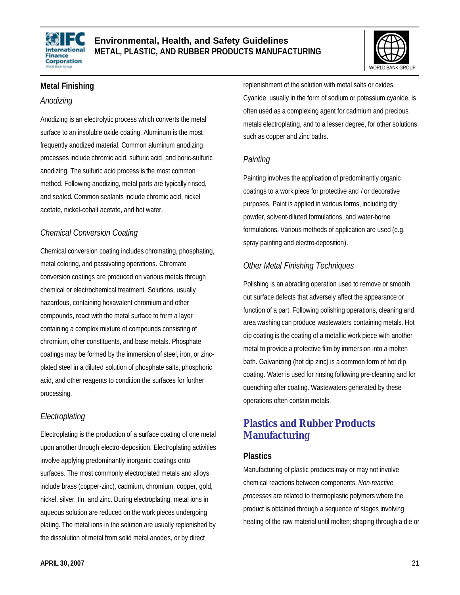



### **Metal Finishing**

#### *Anodizing*

Anodizing is an electrolytic process which converts the metal surface to an insoluble oxide coating. Aluminum is the most frequently anodized material. Common aluminum anodizing processes include chromic acid, sulfuric acid, and boric-sulfuric anodizing. The sulfuric acid process is the most common method. Following anodizing, metal parts are typically rinsed, and sealed. Common sealants include chromic acid, nickel acetate, nickel-cobalt acetate, and hot water.

### *Chemical Conversion Coating*

Chemical conversion coating includes chromating, phosphating, metal coloring, and passivating operations. Chromate conversion coatings are produced on various metals through chemical or electrochemical treatment. Solutions, usually hazardous, containing hexavalent chromium and other compounds, react with the metal surface to form a layer containing a complex mixture of compounds consisting of chromium, other constituents, and base metals. Phosphate coatings may be formed by the immersion of steel, iron, or zincplated steel in a diluted solution of phosphate salts, phosphoric acid, and other reagents to condition the surfaces for further processing.

### *Electroplating*

Electroplating is the production of a surface coating of one metal upon another through electro-deposition. Electroplating activities involve applying predominantly inorganic coatings onto surfaces. The most commonly electroplated metals and alloys include brass (copper-zinc), cadmium, chromium, copper, gold, nickel, silver, tin, and zinc. During electroplating, metal ions in aqueous solution are reduced on the work pieces undergoing plating. The metal ions in the solution are usually replenished by the dissolution of metal from solid metal anodes, or by direct

replenishment of the solution with metal salts or oxides. Cyanide, usually in the form of sodium or potassium cyanide, is often used as a complexing agent for cadmium and precious metals electroplating, and to a lesser degree, for other solutions such as copper and zinc baths.

### *Painting*

Painting involves the application of predominantly organic coatings to a work piece for protective and / or decorative purposes. Paint is applied in various forms, including dry powder, solvent-diluted formulations, and water-borne formulations. Various methods of application are used (e.g. spray painting and electro-deposition).

### *Other Metal Finishing Techniques*

Polishing is an abrading operation used to remove or smooth out surface defects that adversely affect the appearance or function of a part. Following polishing operations, cleaning and area washing can produce wastewaters containing metals. Hot dip coating is the coating of a metallic work piece with another metal to provide a protective film by immersion into a molten bath. Galvanizing (hot dip zinc) is a common form of hot dip coating. Water is used for rinsing following pre-cleaning and for quenching after coating. Wastewaters generated by these operations often contain metals.

### **Plastics and Rubber Products Manufacturing**

### **Plastics**

Manufacturing of plastic products may or may not involve chemical reactions between components. *Non-reactive processes* are related to thermoplastic polymers where the product is obtained through a sequence of stages involving heating of the raw material until molten; shaping through a die or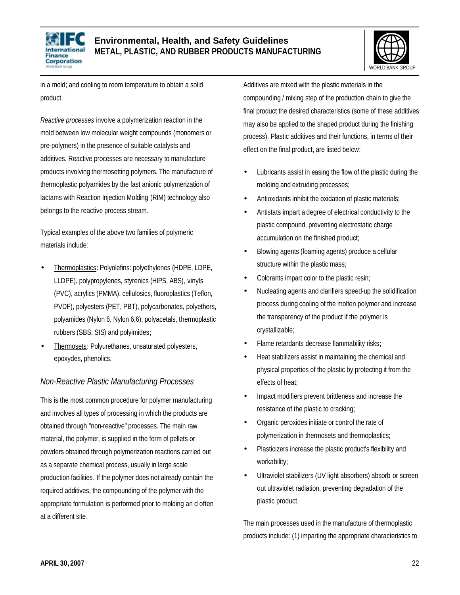



in a mold; and cooling to room temperature to obtain a solid product.

*Reactive processes* involve a polymerization reaction in the mold between low molecular weight compounds (monomers or pre-polymers) in the presence of suitable catalysts and additives. Reactive processes are necessary to manufacture products involving thermosetting polymers. The manufacture of thermoplastic polyamides by the fast anionic polymerization of lactams with Reaction Injection Molding (RIM) technology also belongs to the reactive process stream.

Typical examples of the above two families of polymeric materials include:

- Thermoplastics**:** Polyolefins: polyethylenes (HDPE, LDPE, LLDPE), polypropylenes, styrenics (HIPS, ABS), vinyls (PVC), acrylics (PMMA), cellulosics, fluoroplastics (Teflon, PVDF), polyesters (PET, PBT), polycarbonates, polyethers, polyamides (Nylon 6, Nylon 6,6), polyacetals, thermoplastic rubbers (SBS, SIS) and polyimides;
- Thermosets: Polyurethanes, unsaturated polyesters, epoxydes, phenolics.

### *Non-Reactive Plastic Manufacturing Processes*

This is the most common procedure for polymer manufacturing and involves all types of processing in which the products are obtained through "non-reactive" processes. The main raw material, the polymer, is supplied in the form of pellets or powders obtained through polymerization reactions carried out as a separate chemical process, usually in large scale production facilities. If the polymer does not already contain the required additives, the compounding of the polymer with the appropriate formulation is performed prior to molding an d often at a different site.

Additives are mixed with the plastic materials in the compounding / mixing step of the production chain to give the final product the desired characteristics (some of these additives may also be applied to the shaped product during the finishing process). Plastic additives and their functions, in terms of their effect on the final product, are listed below:

- Lubricants assist in easing the flow of the plastic during the molding and extruding processes;
- Antioxidants inhibit the oxidation of plastic materials;
- Antistats impart a degree of electrical conductivity to the plastic compound, preventing electrostatic charge accumulation on the finished product;
- Blowing agents (foaming agents) produce a cellular structure within the plastic mass;
- Colorants impart color to the plastic resin;
- Nucleating agents and clarifiers speed-up the solidification process during cooling of the molten polymer and increase the transparency of the product if the polymer is crystallizable;
- Flame retardants decrease flammability risks;
- Heat stabilizers assist in maintaining the chemical and physical properties of the plastic by protecting it from the effects of heat;
- Impact modifiers prevent brittleness and increase the resistance of the plastic to cracking;
- Organic peroxides initiate or control the rate of polymerization in thermosets and thermoplastics;
- Plasticizers increase the plastic product's flexibility and workability;
- Ultraviolet stabilizers (UV light absorbers) absorb or screen out ultraviolet radiation, preventing degradation of the plastic product.

The main processes used in the manufacture of thermoplastic products include: (1) imparting the appropriate characteristics to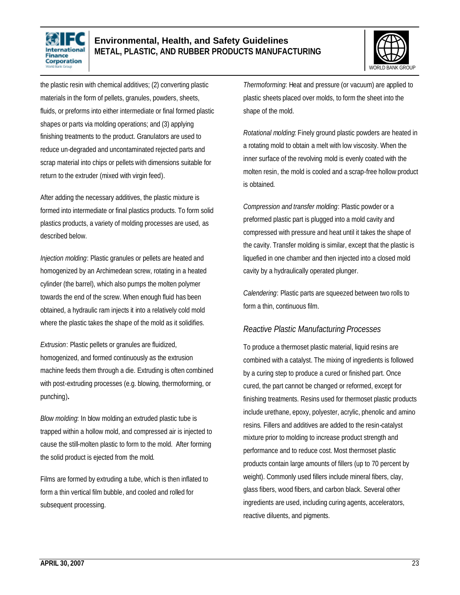



the plastic resin with chemical additives; (2) converting plastic materials in the form of pellets, granules, powders, sheets, fluids, or preforms into either intermediate or final formed plastic shapes or parts via molding operations; and (3) applying finishing treatments to the product. Granulators are used to reduce un-degraded and uncontaminated rejected parts and scrap material into chips or pellets with dimensions suitable for return to the extruder (mixed with virgin feed).

After adding the necessary additives, the plastic mixture is formed into intermediate or final plastics products. To form solid plastics products, a variety of molding processes are used, as described below.

*Injection molding*: Plastic granules or pellets are heated and homogenized by an Archimedean screw, rotating in a heated cylinder (the barrel), which also pumps the molten polymer towards the end of the screw. When enough fluid has been obtained, a hydraulic ram injects it into a relatively cold mold where the plastic takes the shape of the mold as it solidifies.

*Extrusion*: Plastic pellets or granules are fluidized, homogenized, and formed continuously as the extrusion machine feeds them through a die. Extruding is often combined with post-extruding processes (e.g. blowing, thermoforming, or punching)**.** 

*Blow molding*: In blow molding an extruded plastic tube is trapped within a hollow mold, and compressed air is injected to cause the still-molten plastic to form to the mold. After forming the solid product is ejected from the mold.

Films are formed by extruding a tube, which is then inflated to form a thin vertical film bubble, and cooled and rolled for subsequent processing.

*Thermoforming*: Heat and pressure (or vacuum) are applied to plastic sheets placed over molds, to form the sheet into the shape of the mold.

*Rotational molding*: Finely ground plastic powders are heated in a rotating mold to obtain a melt with low viscosity. When the inner surface of the revolving mold is evenly coated with the molten resin, the mold is cooled and a scrap-free hollow product is obtained.

*Compression and transfer molding*: Plastic powder or a preformed plastic part is plugged into a mold cavity and compressed with pressure and heat until it takes the shape of the cavity. Transfer molding is similar, except that the plastic is liquefied in one chamber and then injected into a closed mold cavity by a hydraulically operated plunger.

*Calendering*: Plastic parts are squeezed between two rolls to form a thin, continuous film.

#### *Reactive Plastic Manufacturing Processes*

To produce a thermoset plastic material, liquid resins are combined with a catalyst. The mixing of ingredients is followed by a curing step to produce a cured or finished part. Once cured, the part cannot be changed or reformed, except for finishing treatments. Resins used for thermoset plastic products include urethane, epoxy, polyester, acrylic, phenolic and amino resins. Fillers and additives are added to the resin-catalyst mixture prior to molding to increase product strength and performance and to reduce cost. Most thermoset plastic products contain large amounts of fillers (up to 70 percent by weight). Commonly used fillers include mineral fibers, clay, glass fibers, wood fibers, and carbon black. Several other ingredients are used, including curing agents, accelerators, reactive diluents, and pigments.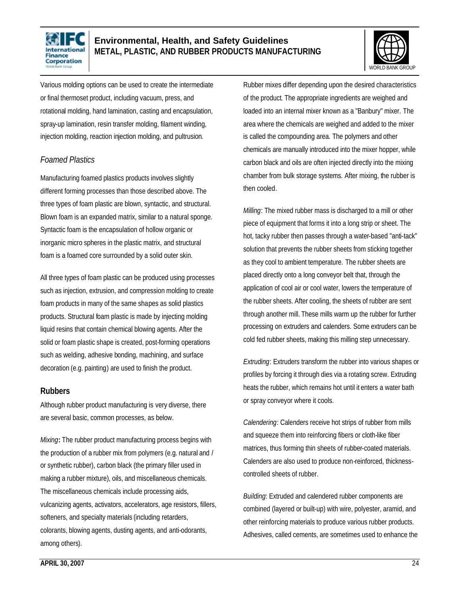



Various molding options can be used to create the intermediate or final thermoset product, including vacuum, press, and rotational molding, hand lamination, casting and encapsulation, spray-up lamination, resin transfer molding, filament winding, injection molding, reaction injection molding, and pultrusion.

#### *Foamed Plastics*

Manufacturing foamed plastics products involves slightly different forming processes than those described above. The three types of foam plastic are blown, syntactic, and structural. Blown foam is an expanded matrix, similar to a natural sponge. Syntactic foam is the encapsulation of hollow organic or inorganic micro spheres in the plastic matrix, and structural foam is a foamed core surrounded by a solid outer skin.

All three types of foam plastic can be produced using processes such as injection, extrusion, and compression molding to create foam products in many of the same shapes as solid plastics products. Structural foam plastic is made by injecting molding liquid resins that contain chemical blowing agents. After the solid or foam plastic shape is created, post-forming operations such as welding, adhesive bonding, machining, and surface decoration (e.g. painting) are used to finish the product.

#### **Rubbers**

Although rubber product manufacturing is very diverse, there are several basic, common processes, as below.

*Mixing***:** The rubber product manufacturing process begins with the production of a rubber mix from polymers (e.g. natural and / or synthetic rubber), carbon black (the primary filler used in making a rubber mixture), oils, and miscellaneous chemicals. The miscellaneous chemicals include processing aids, vulcanizing agents, activators, accelerators, age resistors, fillers, softeners, and specialty materials (including retarders, colorants, blowing agents, dusting agents, and anti-odorants, among others).

Rubber mixes differ depending upon the desired characteristics of the product. The appropriate ingredients are weighed and loaded into an internal mixer known as a "Banbury" mixer. The area where the chemicals are weighed and added to the mixer is called the compounding area. The polymers and other chemicals are manually introduced into the mixer hopper, while carbon black and oils are often injected directly into the mixing chamber from bulk storage systems. After mixing, the rubber is then cooled.

*Milling*: The mixed rubber mass is discharged to a mill or other piece of equipment that forms it into a long strip or sheet. The hot, tacky rubber then passes through a water-based "anti-tack" solution that prevents the rubber sheets from sticking together as they cool to ambient temperature. The rubber sheets are placed directly onto a long conveyor belt that, through the application of cool air or cool water, lowers the temperature of the rubber sheets. After cooling, the sheets of rubber are sent through another mill. These mills warm up the rubber for further processing on extruders and calenders. Some extruders can be cold fed rubber sheets, making this milling step unnecessary.

*Extruding*: Extruders transform the rubber into various shapes or profiles by forcing it through dies via a rotating screw. Extruding heats the rubber, which remains hot until it enters a water bath or spray conveyor where it cools.

*Calendering*: Calenders receive hot strips of rubber from mills and squeeze them into reinforcing fibers or cloth-like fiber matrices, thus forming thin sheets of rubber-coated materials. Calenders are also used to produce non-reinforced, thicknesscontrolled sheets of rubber.

*Building*: Extruded and calendered rubber components are combined (layered or built-up) with wire, polyester, aramid, and other reinforcing materials to produce various rubber products. Adhesives, called cements, are sometimes used to enhance the